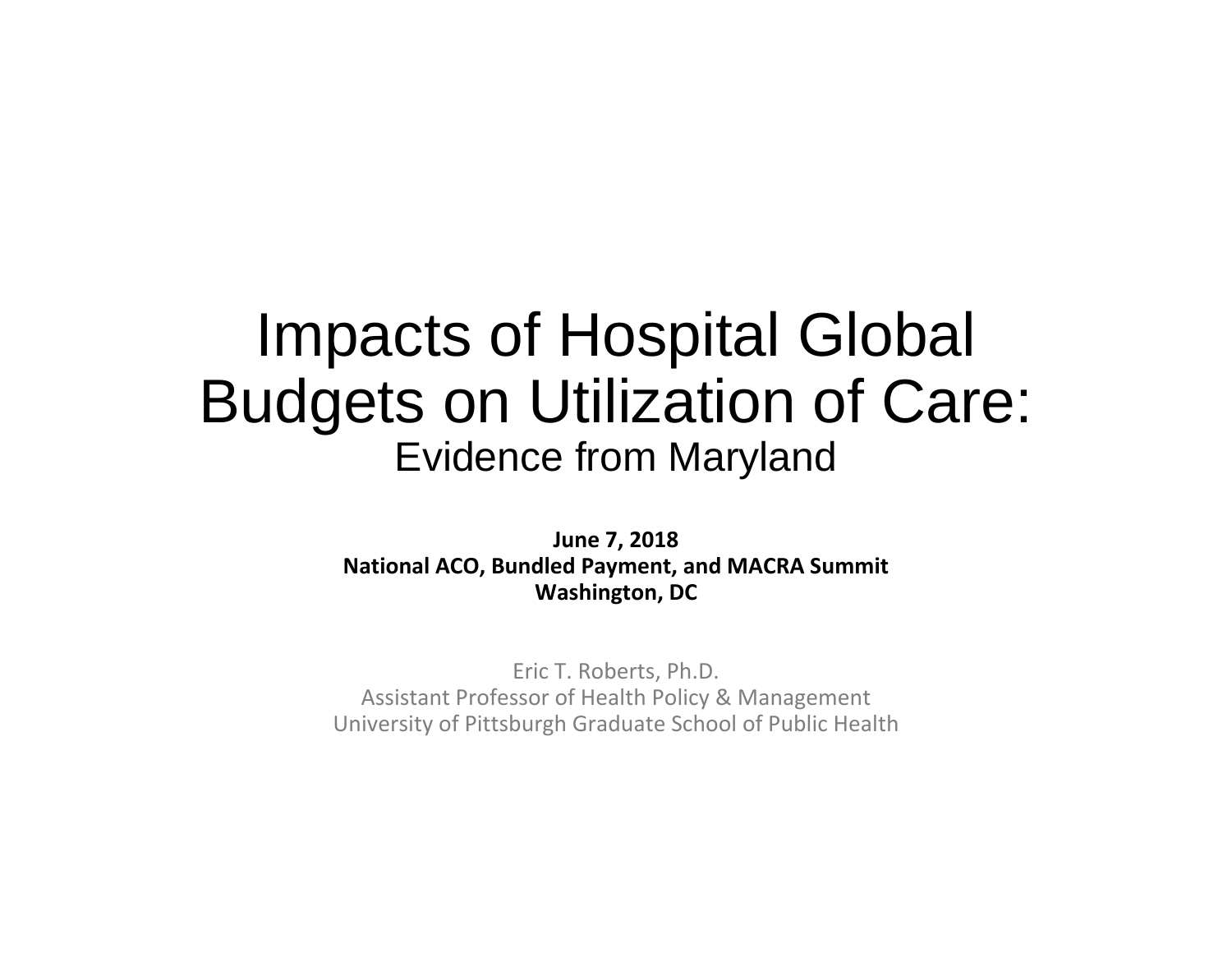### Impacts of Hospital Global Budgets on Utilization of Care: Evidence from Maryland

**June 7, 2018 National ACO, Bundled Payment, and MACRA Summit Washington, DC**

Eric T. Roberts, Ph.D. Assistant Professor of Health Policy & Management University of Pittsburgh Graduate School of Public Health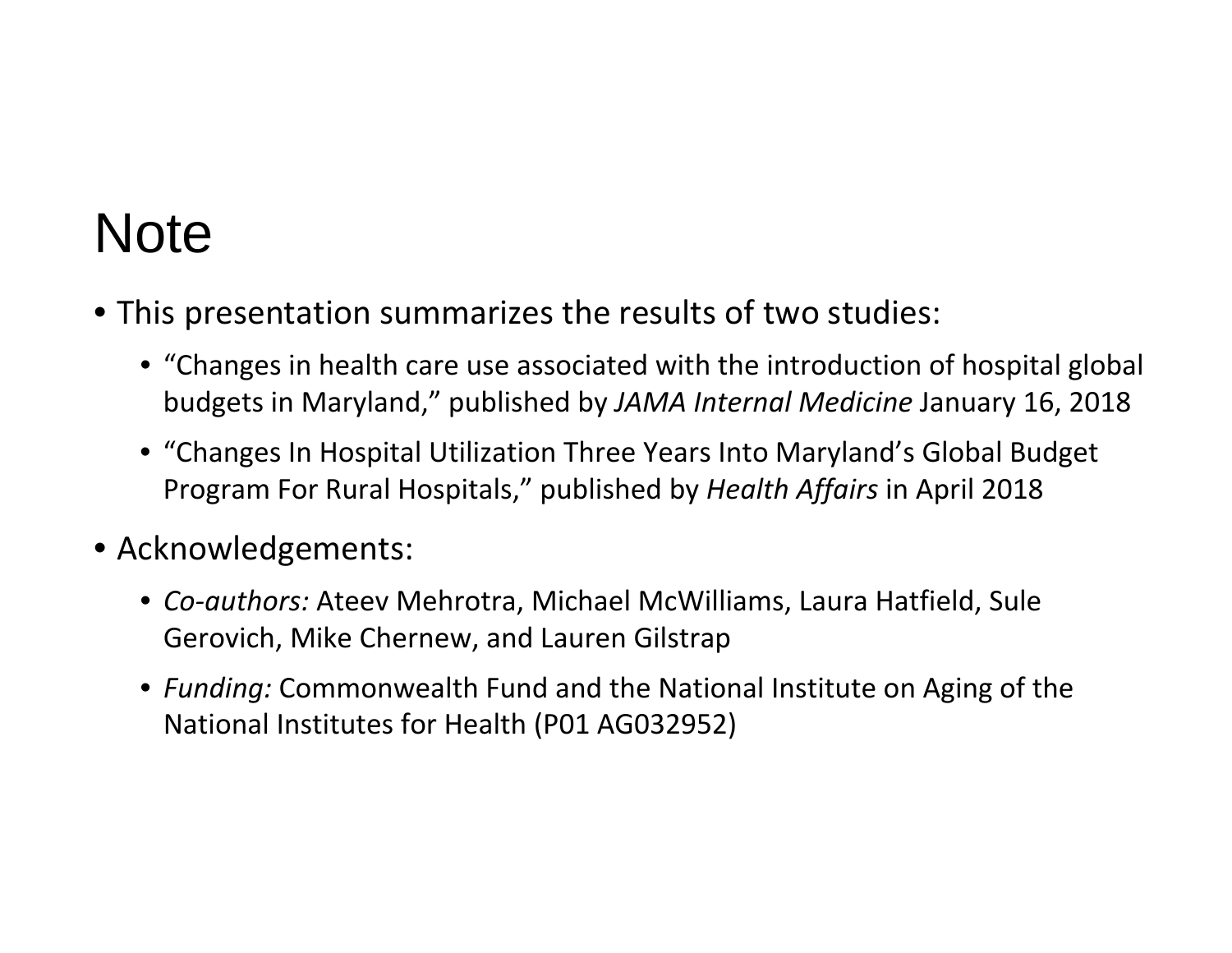### **Note**

- This presentation summarizes the results of two studies:
	- "Changes in health care use associated with the introduction of hospital global budgets in Maryland," published by *JAMA Internal Medicine* January 16, 2018
	- "Changes In Hospital Utilization Three Years Into Maryland's Global Budget Program For Rural Hospitals," published by *Health Affairs* in April 2018
- Acknowledgements:
	- *Co‐authors:* Ateev Mehrotra, Michael McWilliams, Laura Hatfield, Sule Gerovich, Mike Chernew, and Lauren Gilstrap
	- *Funding:* Commonwealth Fund and the National Institute on Aging of the National Institutes for Health (P01 AG032952)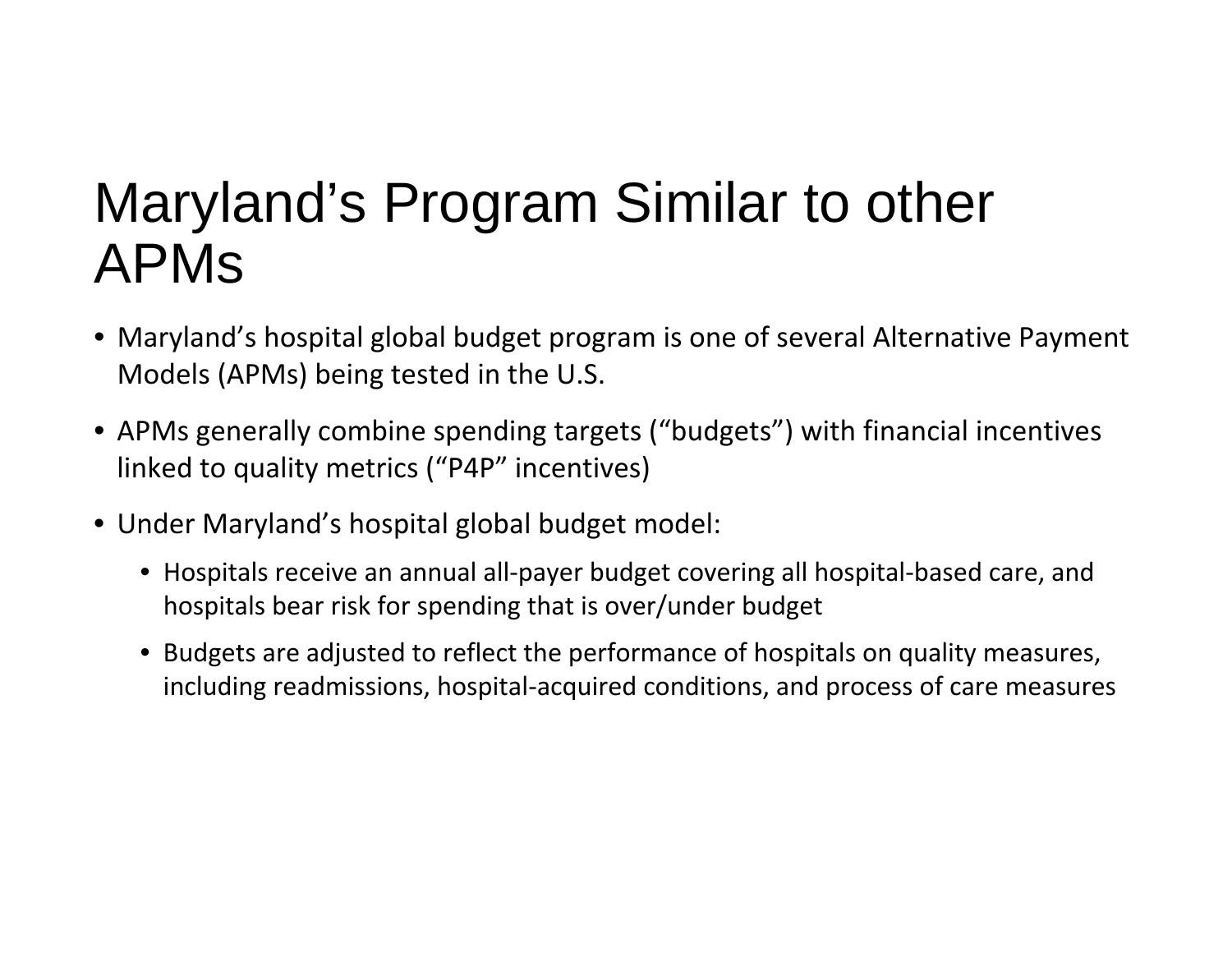### Maryland's Program Similar to other APMs

- Maryland's hospital global budget program is one of several Alternative Payment Models (APMs) being tested in the U.S.
- APMs generally combine spending targets ("budgets") with financial incentives linked to quality metrics ("P4P" incentives)
- Under Maryland's hospital global budget model:
	- Hospitals receive an annual all‐payer budget covering all hospital‐based care, and hospitals bear risk for spending that is over/under budget
	- Budgets are adjusted to reflect the performance of hospitals on quality measures, including readmissions, hospital‐acquired conditions, and process of care measures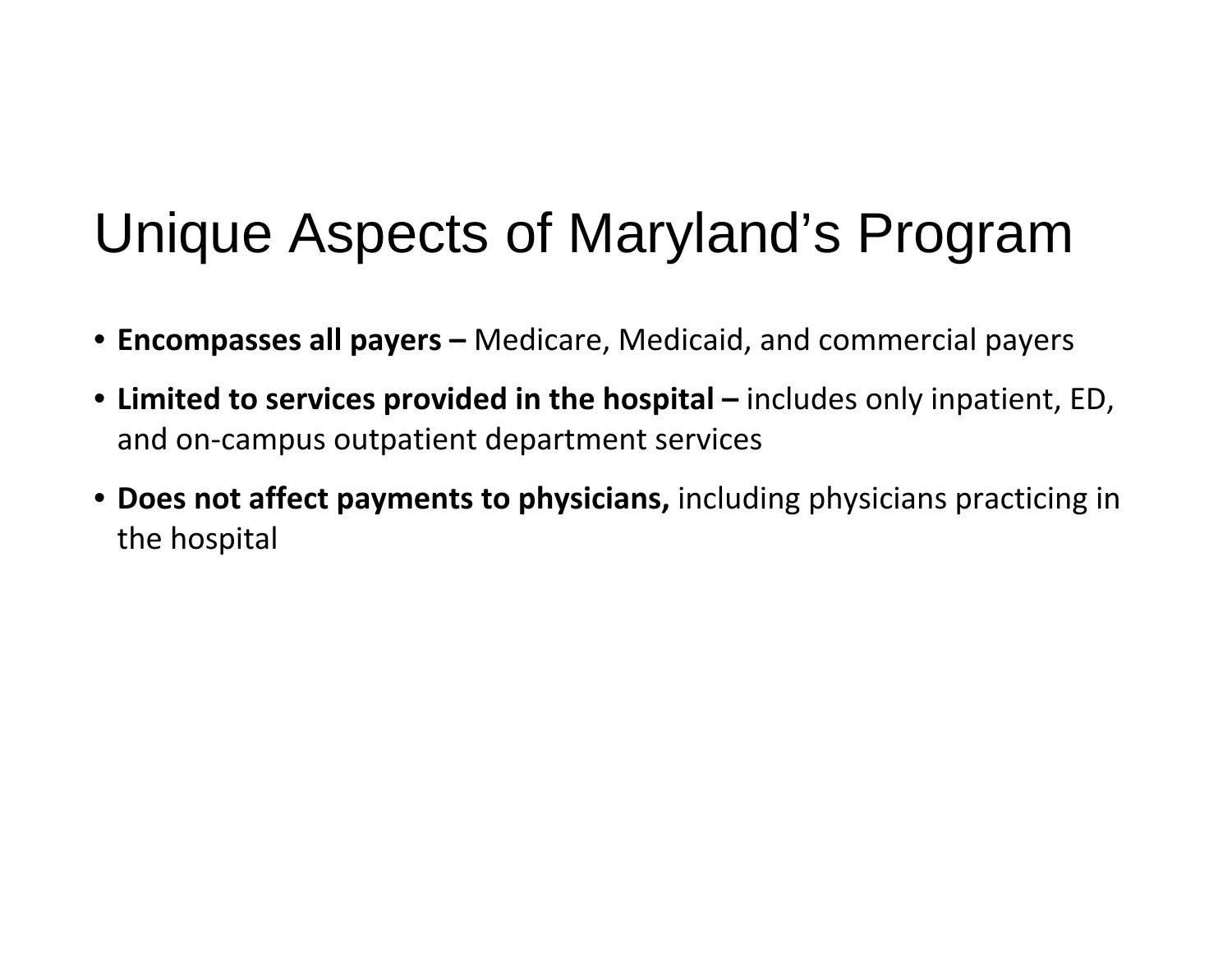### Unique Aspects of Maryland's Program

- **Encompasses all payers –** Medicare, Medicaid, and commercial payers
- **Limited to services provided in the hospital –** includes only inpatient, ED, and on ‐campus outpatient department services
- **Does not affect payments to physicians,** including physicians practicing in the hospital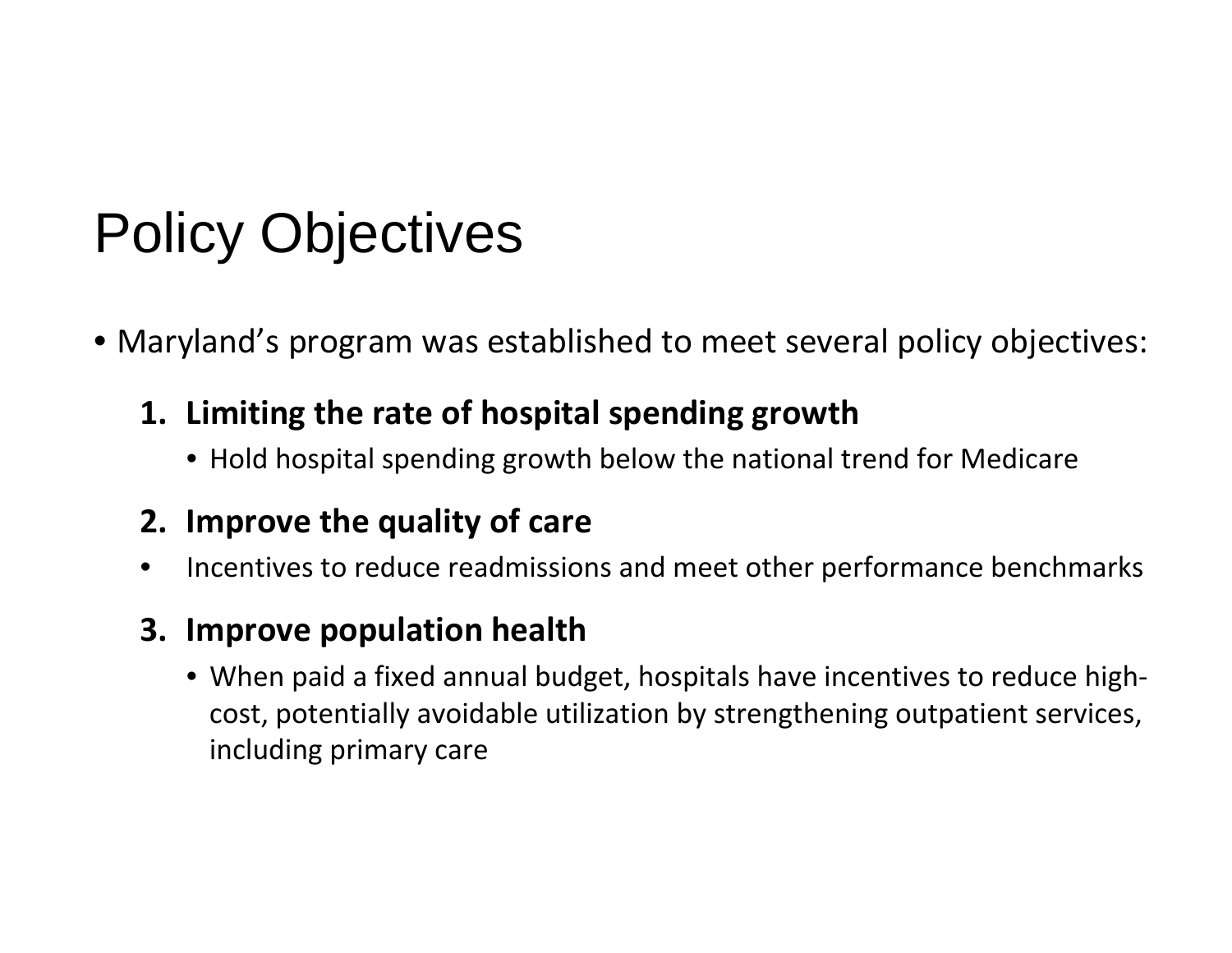# Policy Objectives

- Maryland's program was established to meet several policy objectives:
	- **1. Limiting the rate of hospital spending growth**
		- Hold hospital spending growth below the national trend for Medicare

#### **2. Improve the quality of care**

• Incentives to reduce readmissions and meet other performance benchmarks

#### **3. Improve population health**

● When paid a fixed annual budget, hospitals have incentives to reduce highcost, potentially avoidable utilization by strengthening outpatient services, including primary care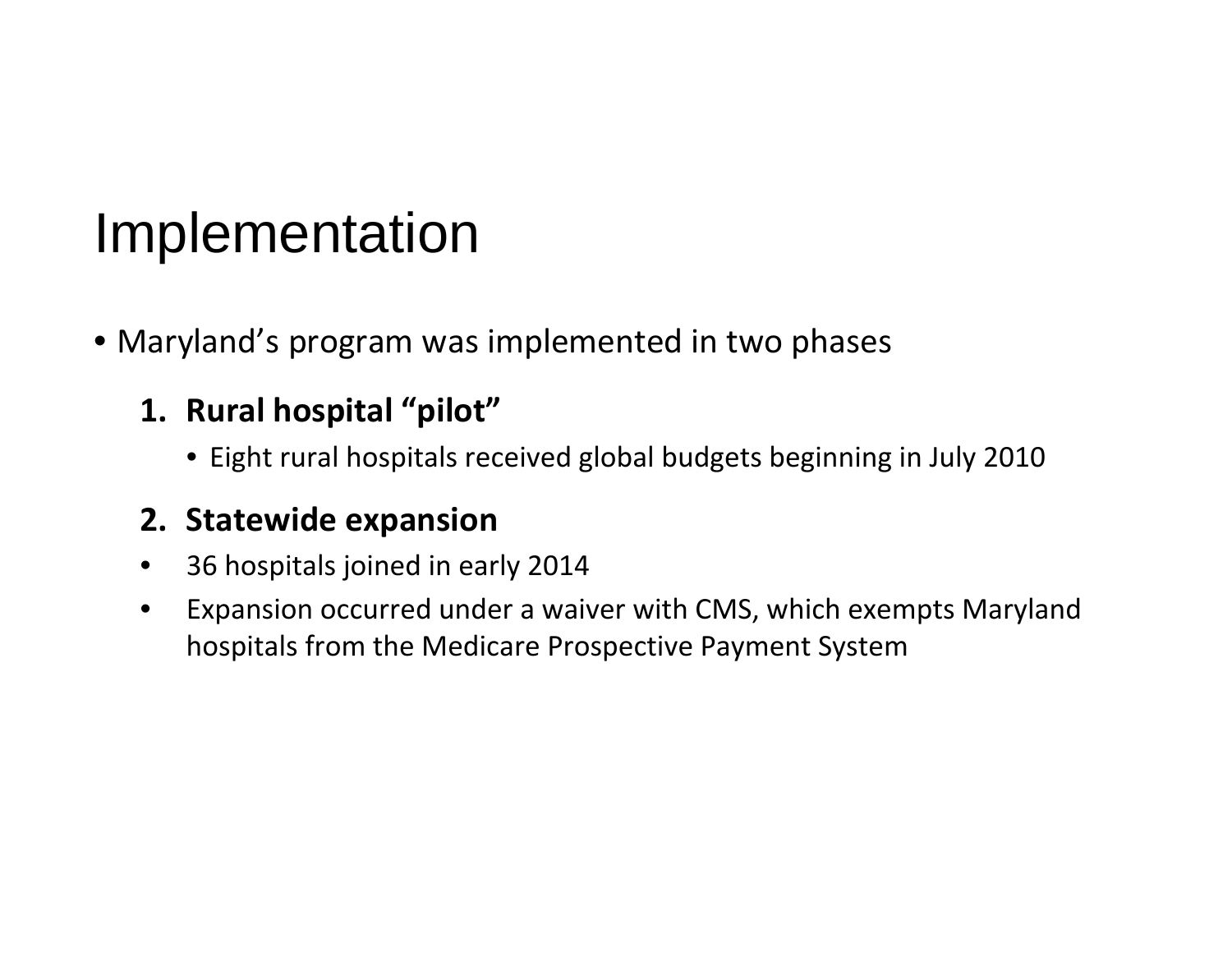### Implementation

- Maryland's program was implemented in two phases
	- **1. Rural hospital "pilot"**
		- Eight rural hospitals received global budgets beginning in July 2010

#### **2. Statewide expansion**

- 36 hospitals joined in early 2014
- Expansion occurred under a waiver with CMS, which exempts Maryland hospitals from the Medicare Prospective Payment System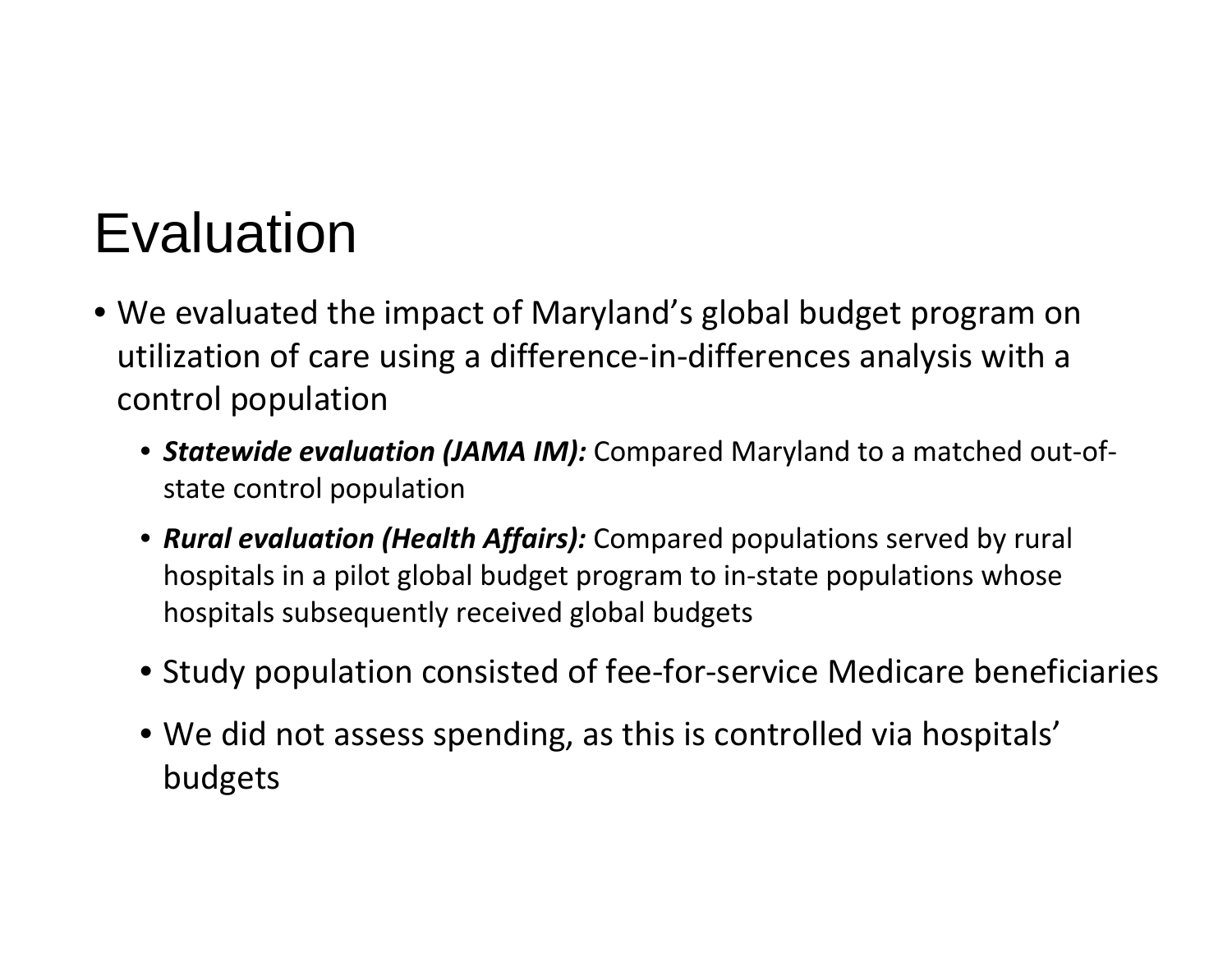### **Evaluation**

- We evaluated the impact of Maryland's global budget program on utilization of care using <sup>a</sup> difference‐in‐differences analysis with <sup>a</sup> control population
	- *Statewide evaluation (JAMA IM):* Compared Maryland to <sup>a</sup> matched out‐of‐ state control population
	- *Rural evaluation (Health Affairs):* Compared populations served by rural hospitals in <sup>a</sup> pilot global budget program to in‐state populations whose hospitals subsequently received global budgets
	- Study population consisted of fee‐for‐service Medicare beneficiaries
	- We did not assess spending, as this is controlled via hospitals' budgets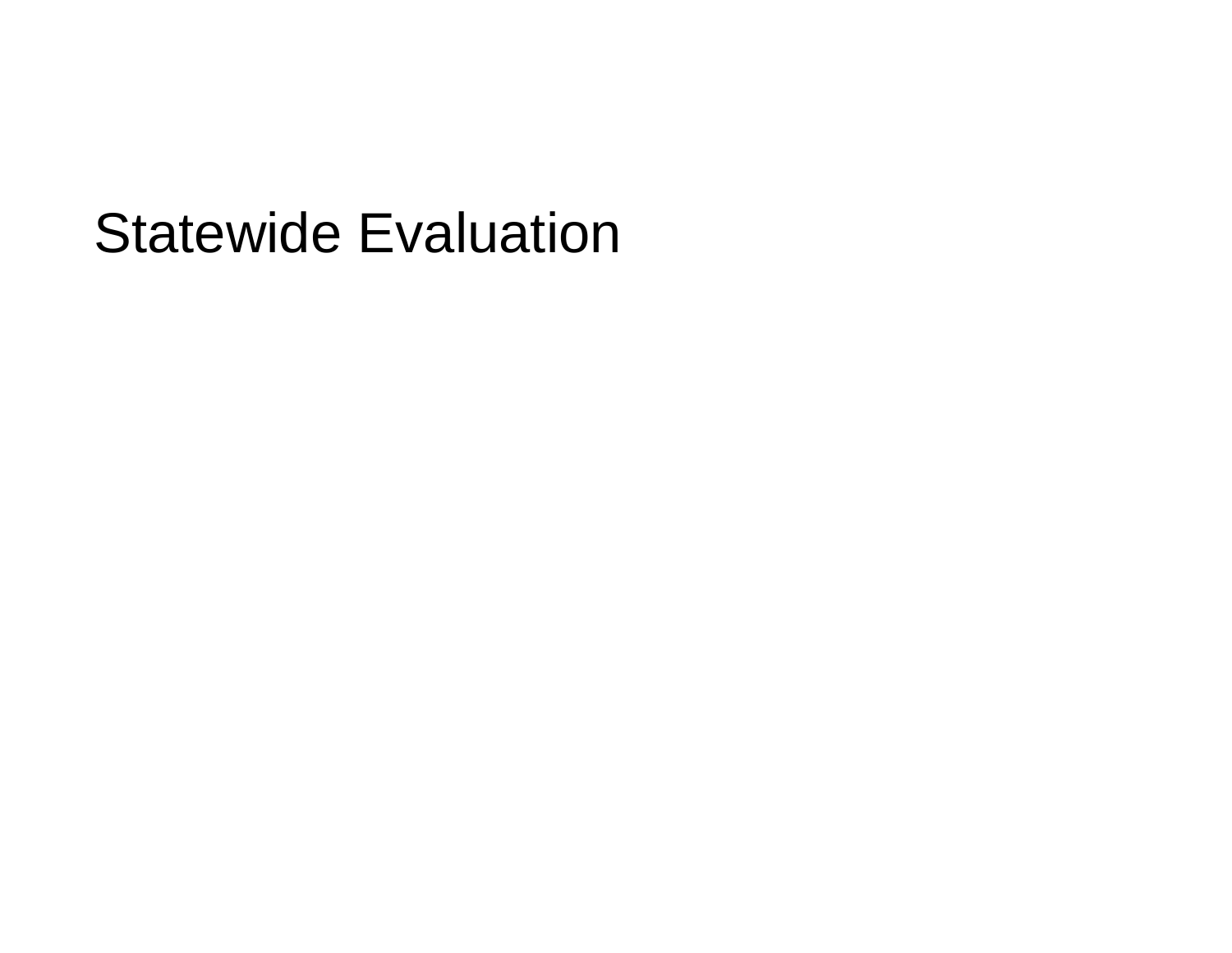### Statewide Evaluation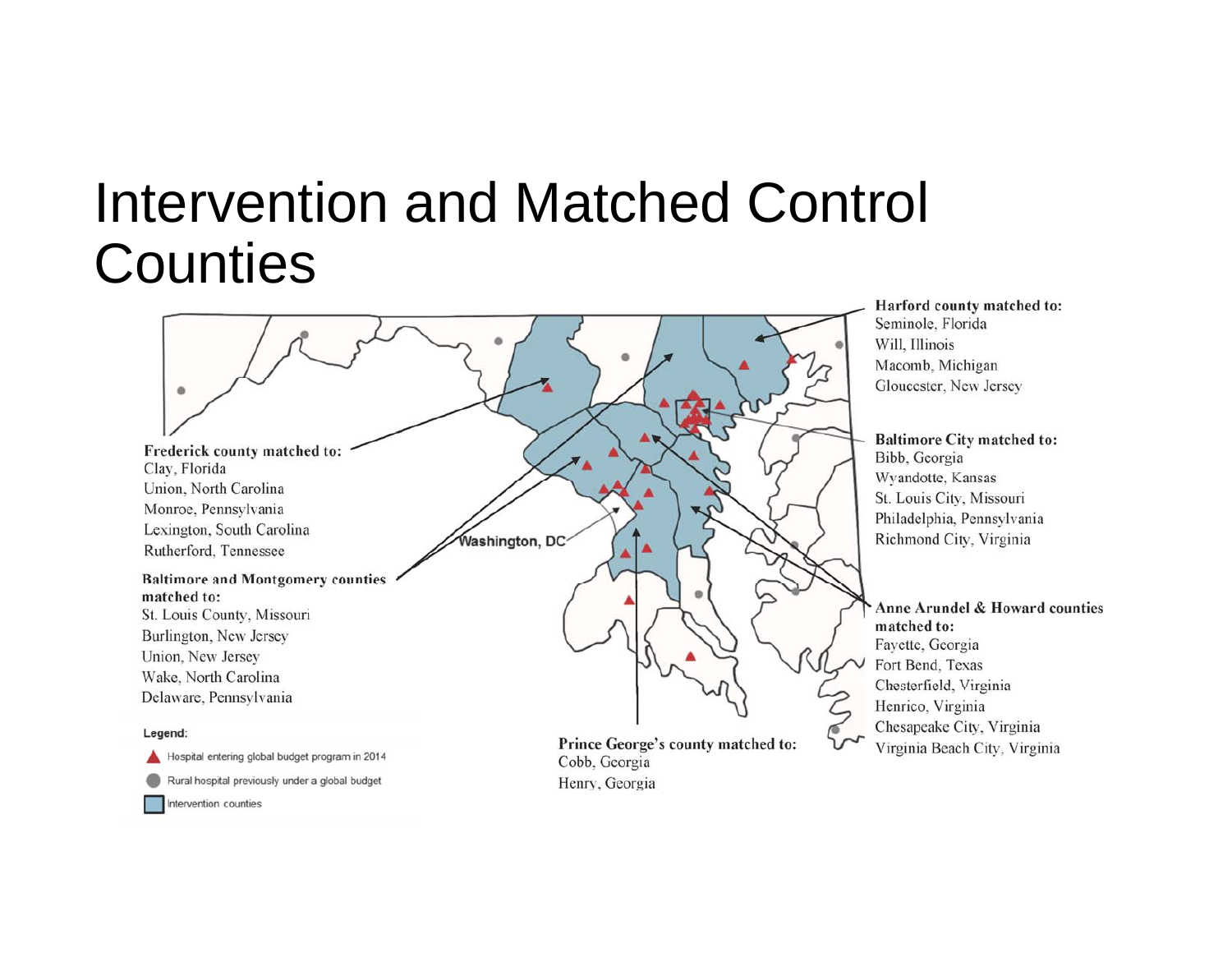### Intervention and Matched Control **Counties**

۰ Frederick county matched to: Clay, Florida Union, North Carolina Monroe, Pennsylvania Lexington, South Carolina Washington, DC Rutherford, Tennessee **Baltimore and Montgomery counties** matched to: St. Louis County, Missouri Burlington, New Jersey Union, New Jersey Wake, North Carolina Delaware, Pennsylvania Legend:

#### Harford county matched to: Seminole, Florida Will, Illinois Macomb, Michigan Gloucester, New Jersey

**Baltimore City matched to:** Bibb, Georgia Wyandotte, Kansas St. Louis City, Missouri Philadelphia, Pennsylvania Richmond City, Virginia

Anne Arundel & Howard counties matched to: Fayette, Georgia Fort Bend, Texas Chesterfield, Virginia Henrico, Virginia Chesapeake City, Virginia Virginia Beach City, Virginia

Prince George's county matched to: Cobb, Georgia Henry, Georgia

#### Intervention counties

Hospital entering global budget program in 2014

Rural hospital previously under a global budget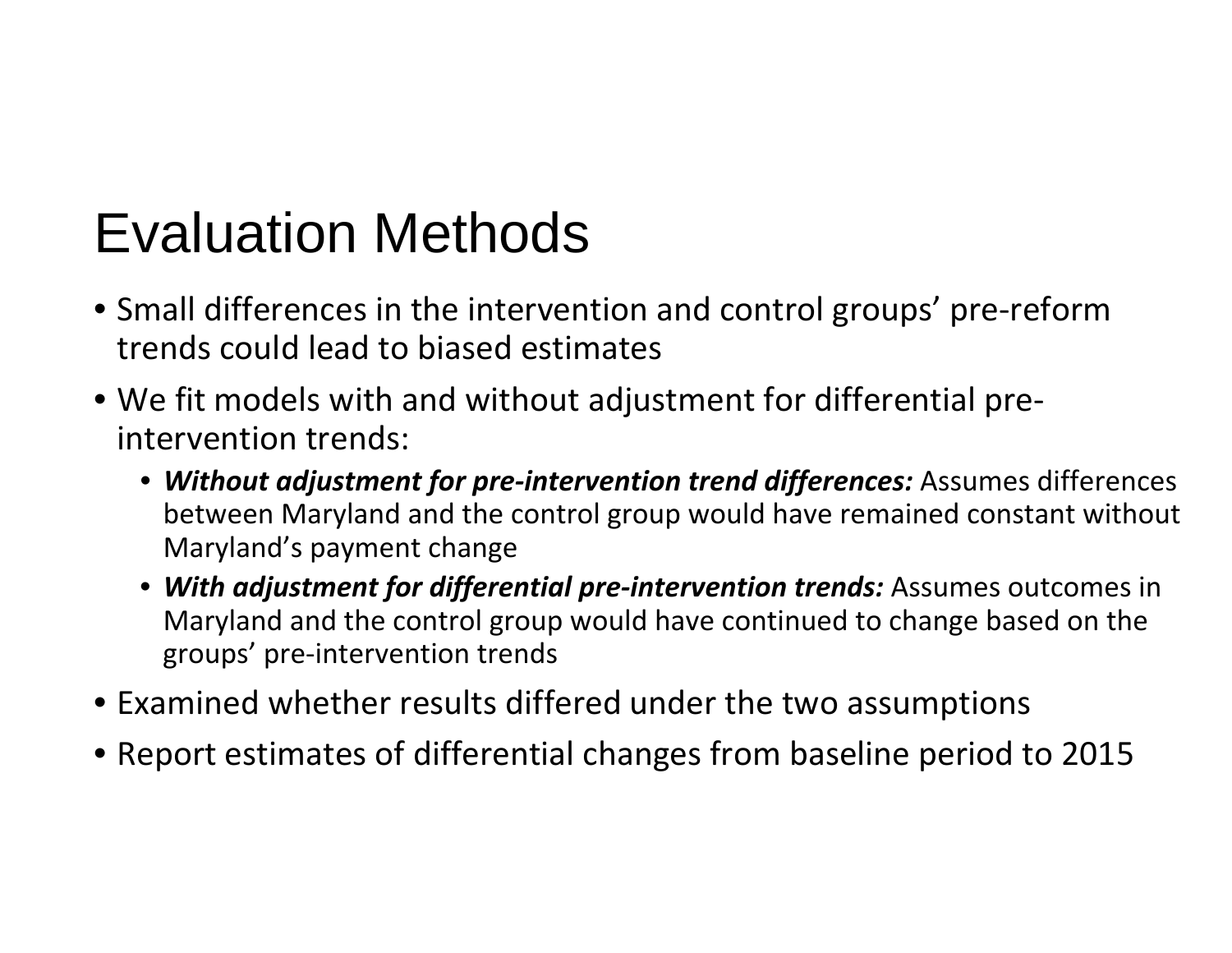### Evaluation Methods

- Small differences in the intervention and control groups' pre ‐reform trends could lead to biased estimates
- We fit models with and without adjustment for differential pre ‐ intervention trends:
	- *Without adjustment for pre ‐intervention trend differences:* Assumes differences between Maryland and the control group would have remained constant without Maryland's payment change
	- *With adjustment for differential pre ‐intervention trends:* Assumes outcomes in Maryland and the control group would have continued to change based on the groups' pre ‐intervention trends
- Examined whether results differed under the two assumptions
- Report estimates of differential changes from baseline period to 2015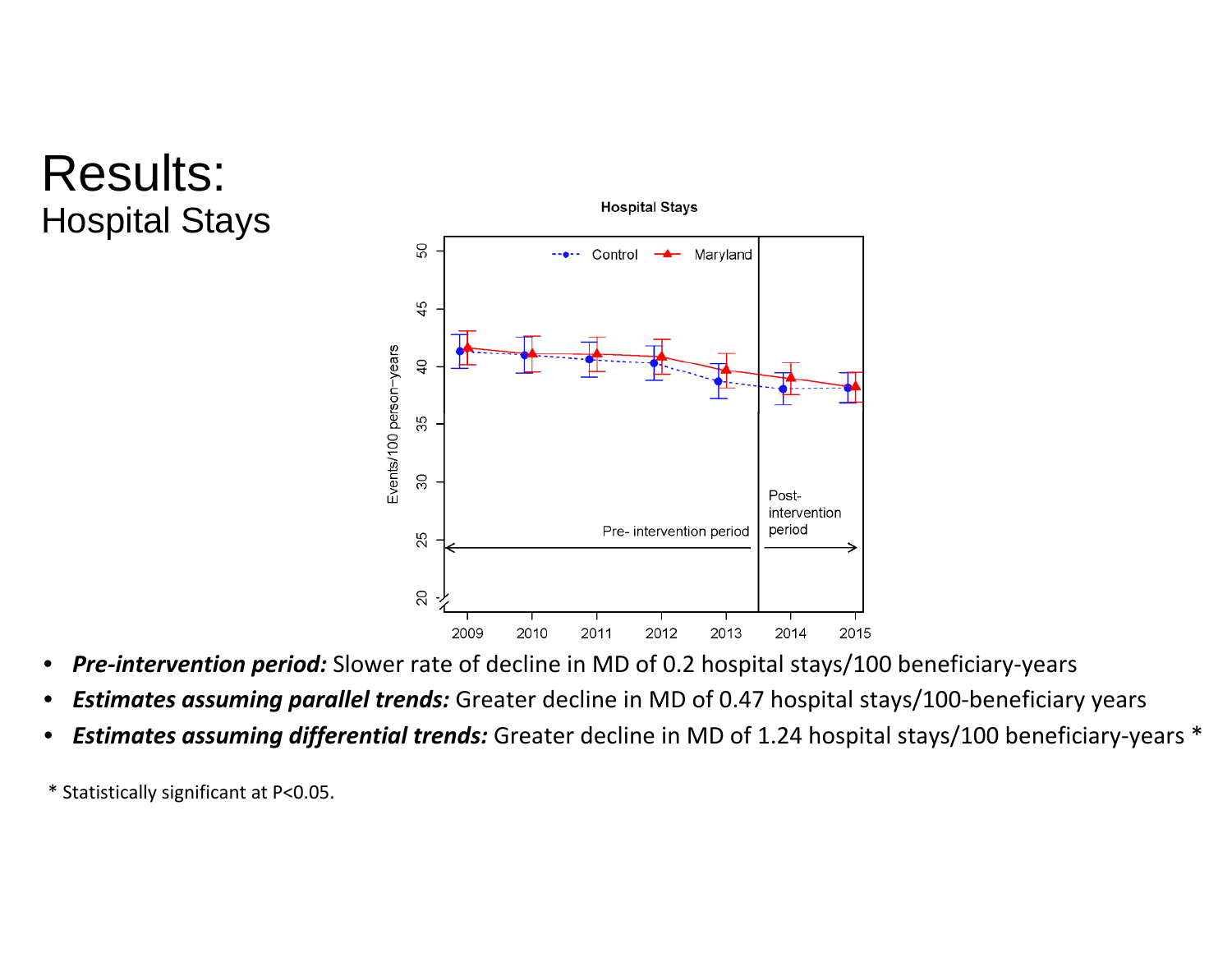### Results: Hospital Stays



- *Pre‐intervention period:* Slower rate of decline in MD of 0.2 hospital stays/100 beneficiary‐years
- *Estimates assuming parallel trends:* Greater decline in MD of 0.47 hospital stays/100‐beneficiary years
- *Estimates assuming differential trends:* Greater decline in MD of 1.24 hospital stays/100 beneficiary‐years \*
- \* Statistically significant at P<0.05.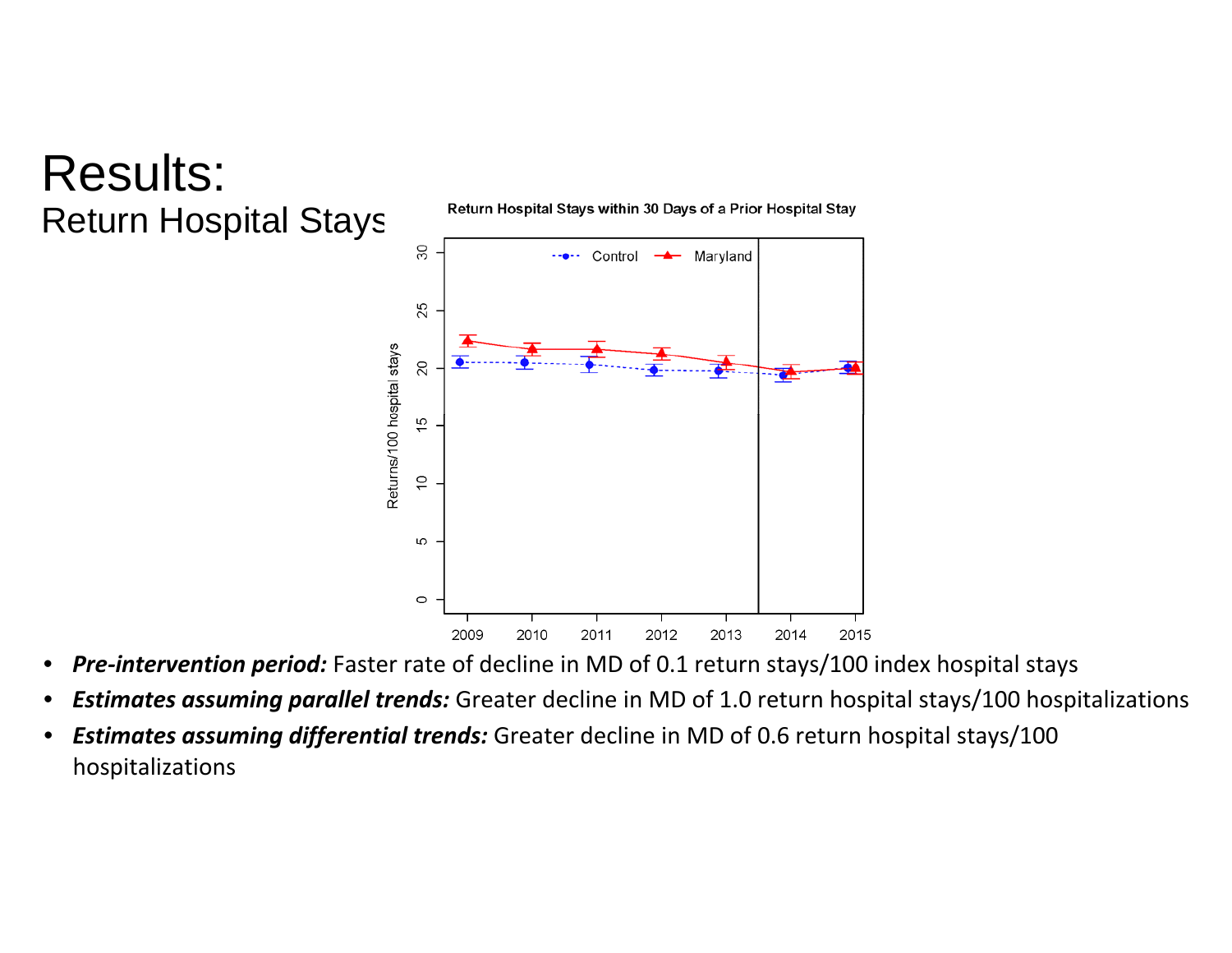### Results: Return Hospital Stays

Return Hospital Stays within 30 Days of a Prior Hospital Stay



- *Pre‐intervention period:* Faster rate of decline in MD of 0.1 return stays/100 index hospital stays
- *Estimates assuming parallel trends:* Greater decline in MD of 1.0 return hospital stays/100 hospitalizations
- *Estimates assuming differential trends:* Greater decline in MD of 0.6 return hospital stays/100 hospitalizations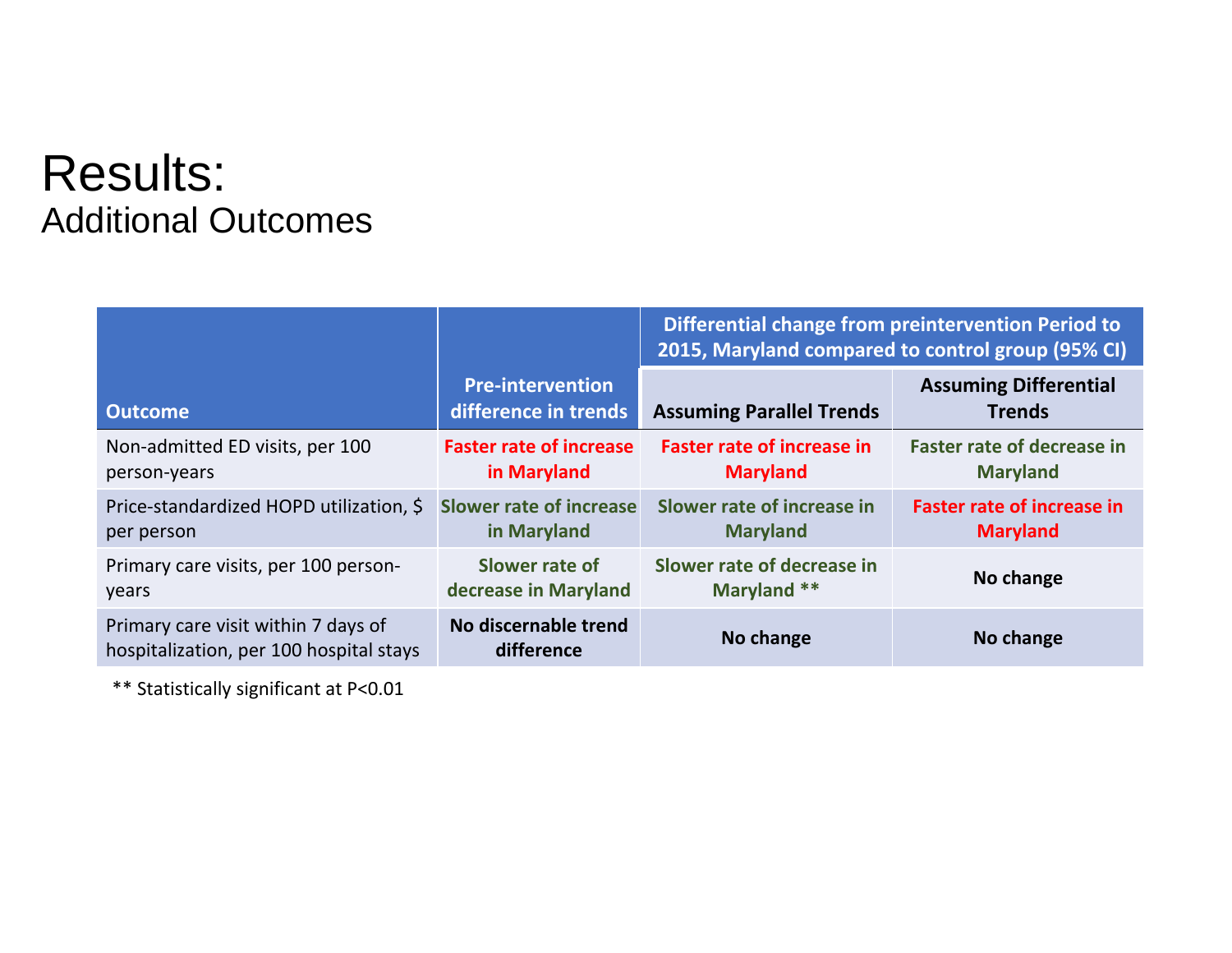#### Results: Additional Outcomes

|                                                                                |                                                 | Differential change from preintervention Period to<br>2015, Maryland compared to control group (95% CI) |                                               |  |
|--------------------------------------------------------------------------------|-------------------------------------------------|---------------------------------------------------------------------------------------------------------|-----------------------------------------------|--|
| <b>Outcome</b>                                                                 | <b>Pre-intervention</b><br>difference in trends | <b>Assuming Parallel Trends</b>                                                                         | <b>Assuming Differential</b><br><b>Trends</b> |  |
| Non-admitted ED visits, per 100                                                | <b>Faster rate of increase</b>                  | <b>Faster rate of increase in</b>                                                                       | <b>Faster rate of decrease in</b>             |  |
| person-years                                                                   | in Maryland                                     | <b>Maryland</b>                                                                                         | <b>Maryland</b>                               |  |
| Price-standardized HOPD utilization, \$                                        | <b>Slower rate of increase</b>                  | Slower rate of increase in                                                                              | <b>Faster rate of increase in</b>             |  |
| per person                                                                     | in Maryland                                     | <b>Maryland</b>                                                                                         | <b>Maryland</b>                               |  |
| Primary care visits, per 100 person-                                           | Slower rate of                                  | Slower rate of decrease in                                                                              | No change                                     |  |
| years                                                                          | decrease in Maryland                            | Maryland **                                                                                             |                                               |  |
| Primary care visit within 7 days of<br>hospitalization, per 100 hospital stays | No discernable trend<br>difference              | No change                                                                                               | No change                                     |  |

\*\* Statistically significant at P<0.01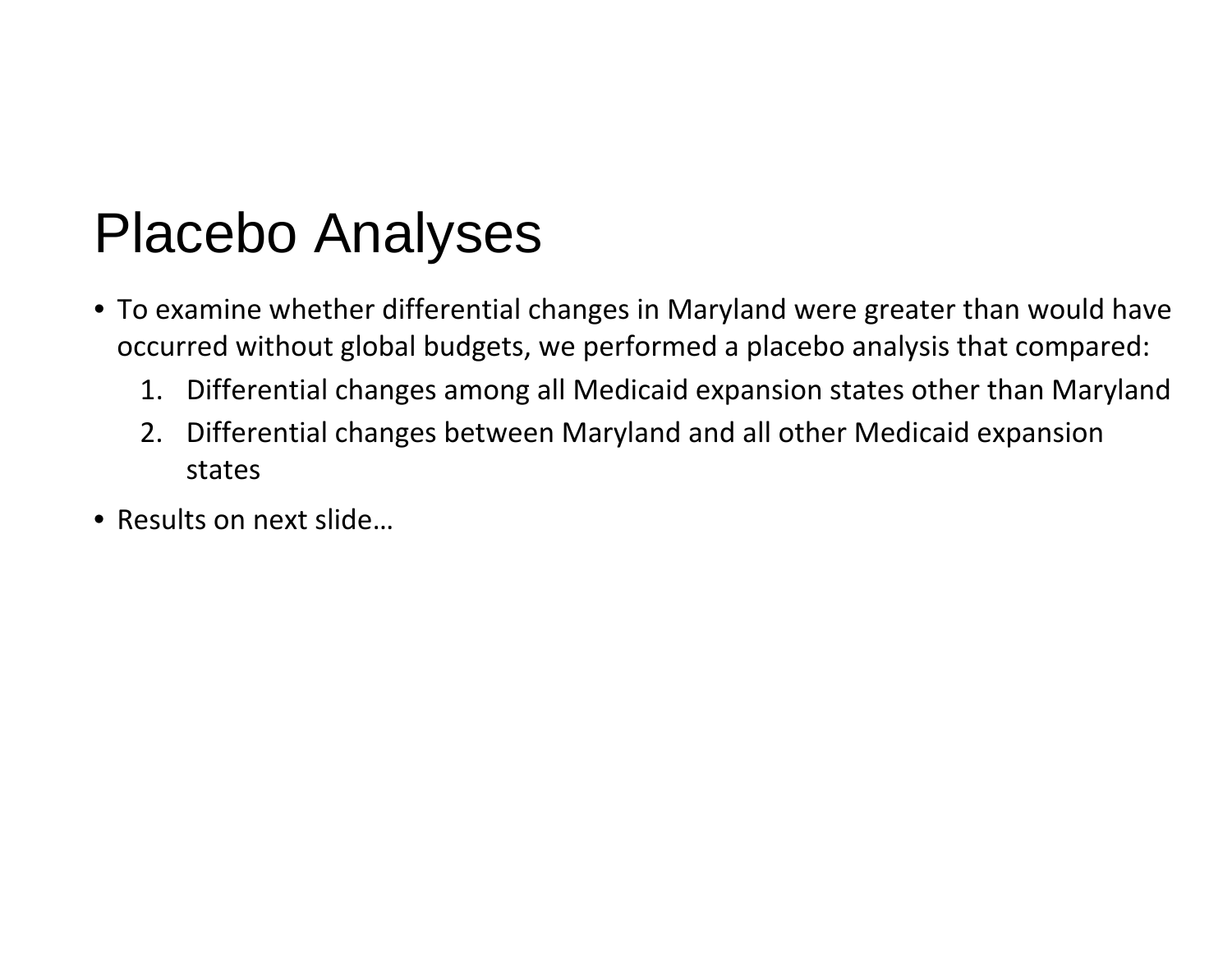### Placebo Analyses

- To examine whether differential changes in Maryland were greater than would have occurred without global budgets, we performed a placebo analysis that compared:
	- 1.Differential changes among all Medicaid expansion states other than Maryland
	- 2. Differential changes between Maryland and all other Medicaid expansion states
- Results on next slide…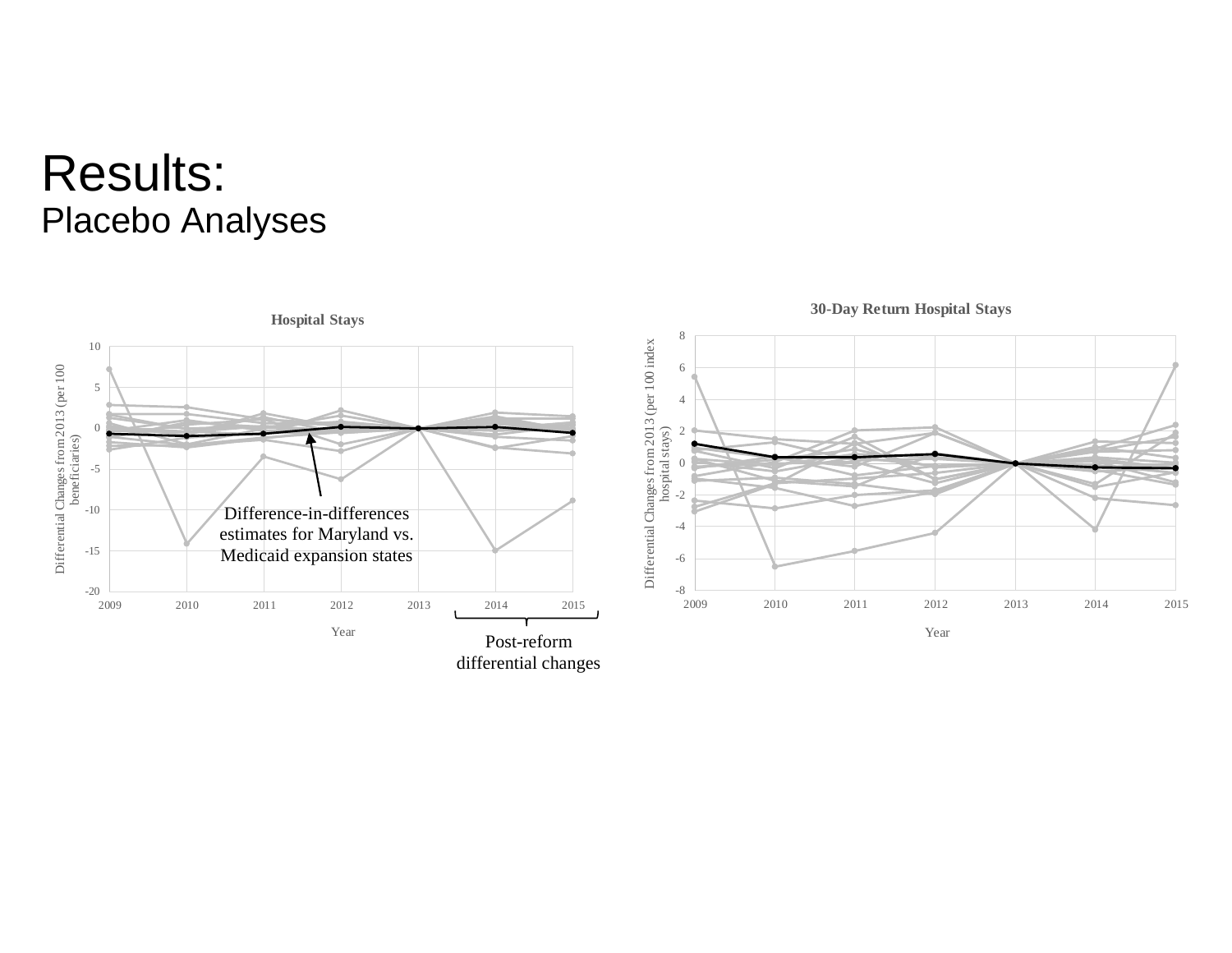### Results: Placebo Analyses

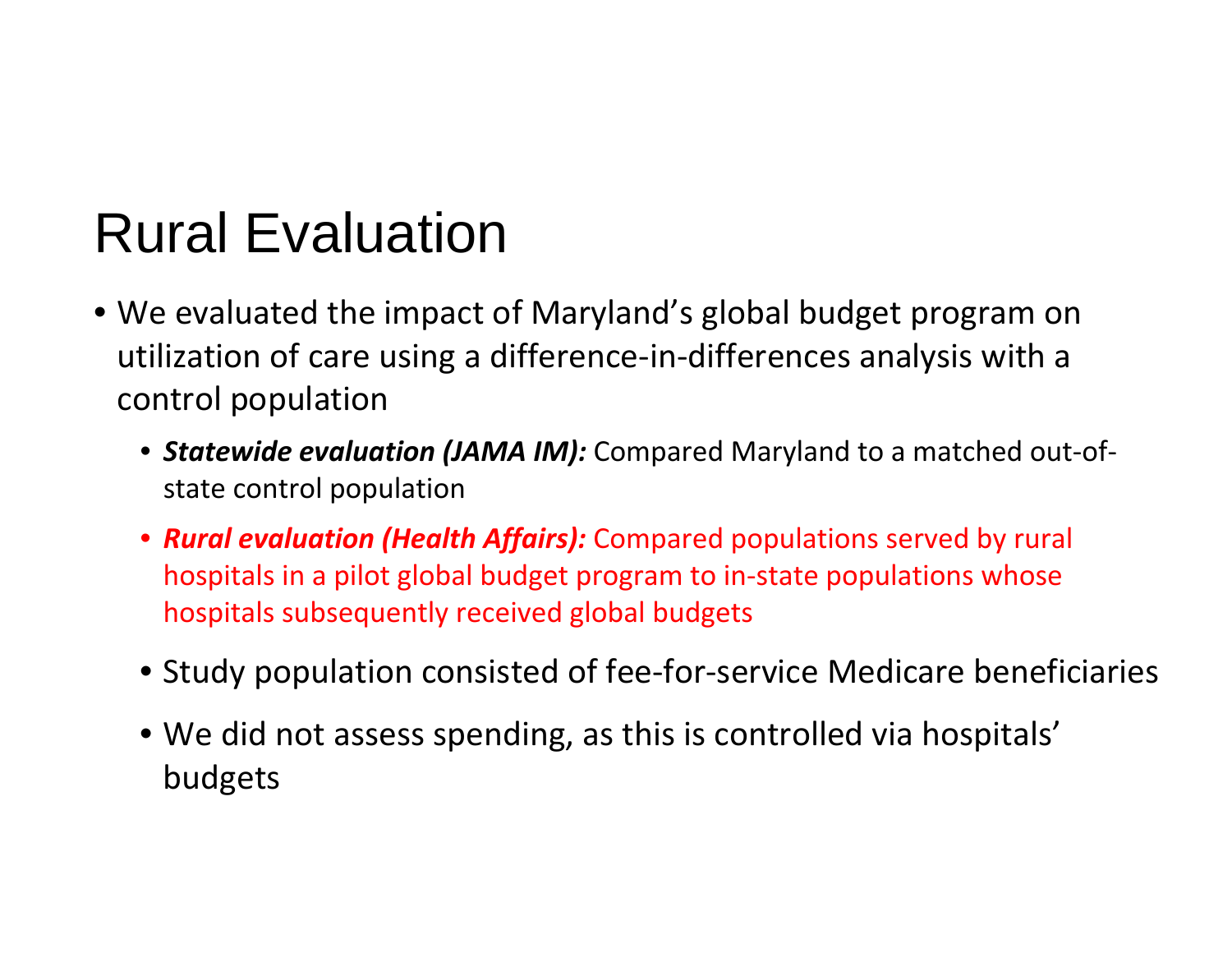### Rural Evaluation

- We evaluated the impact of Maryland's global budget program on utilization of care using a difference-in-differences analysis with a control population
	- *Statewide evaluation (JAMA IM):* Compared Maryland to a matched out ‐of ‐ state control population
	- *Rural evaluation (Health Affairs):* Compared populations served by rural hospitals in a pilot global budget program to in ‐state populations whose hospitals subsequently received global budgets
	- Study population consisted of fee-for-service Medicare beneficiaries
	- We did not assess spending, as this is controlled via hospitals' budgets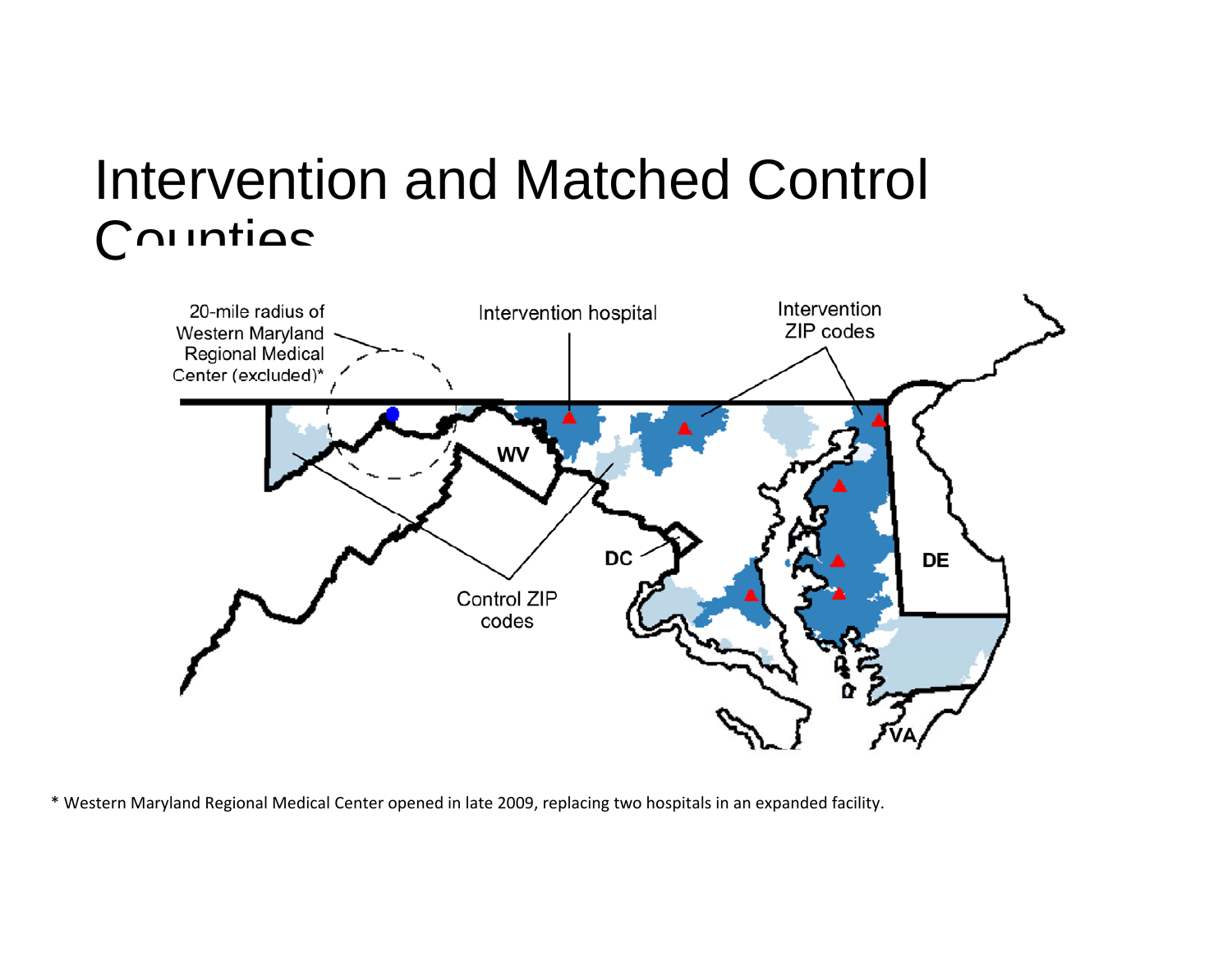### Intervention and Matched Control Countiac



\* Western Maryland Regional Medical Center opened in late 2009, replacing two hospitals in an expanded facility.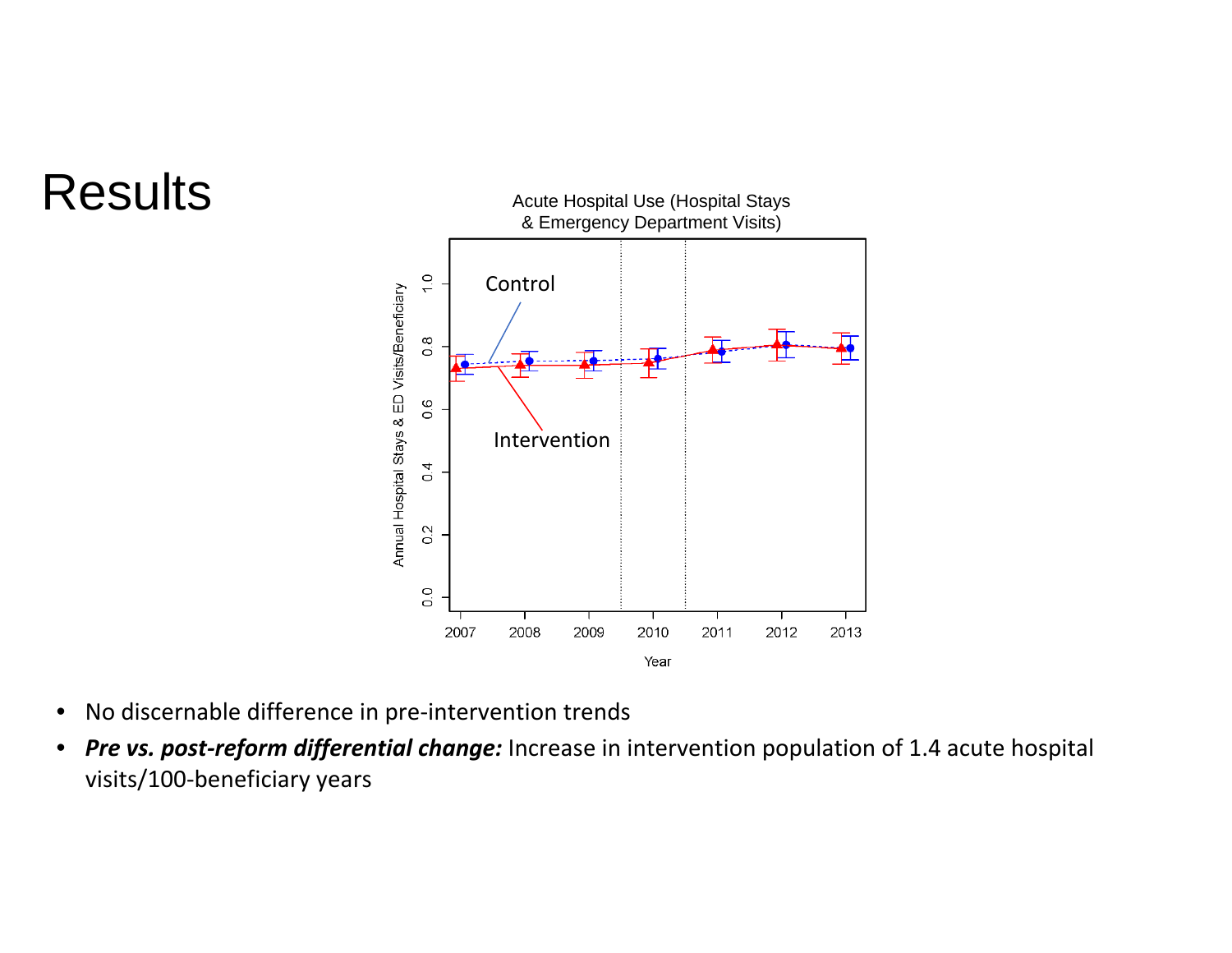### **Results**



- No discernable difference in pre‐intervention trends
- *Pre vs. post‐reform differential change:* Increase in intervention population of 1.4 acute hospital visits/100‐beneficiary years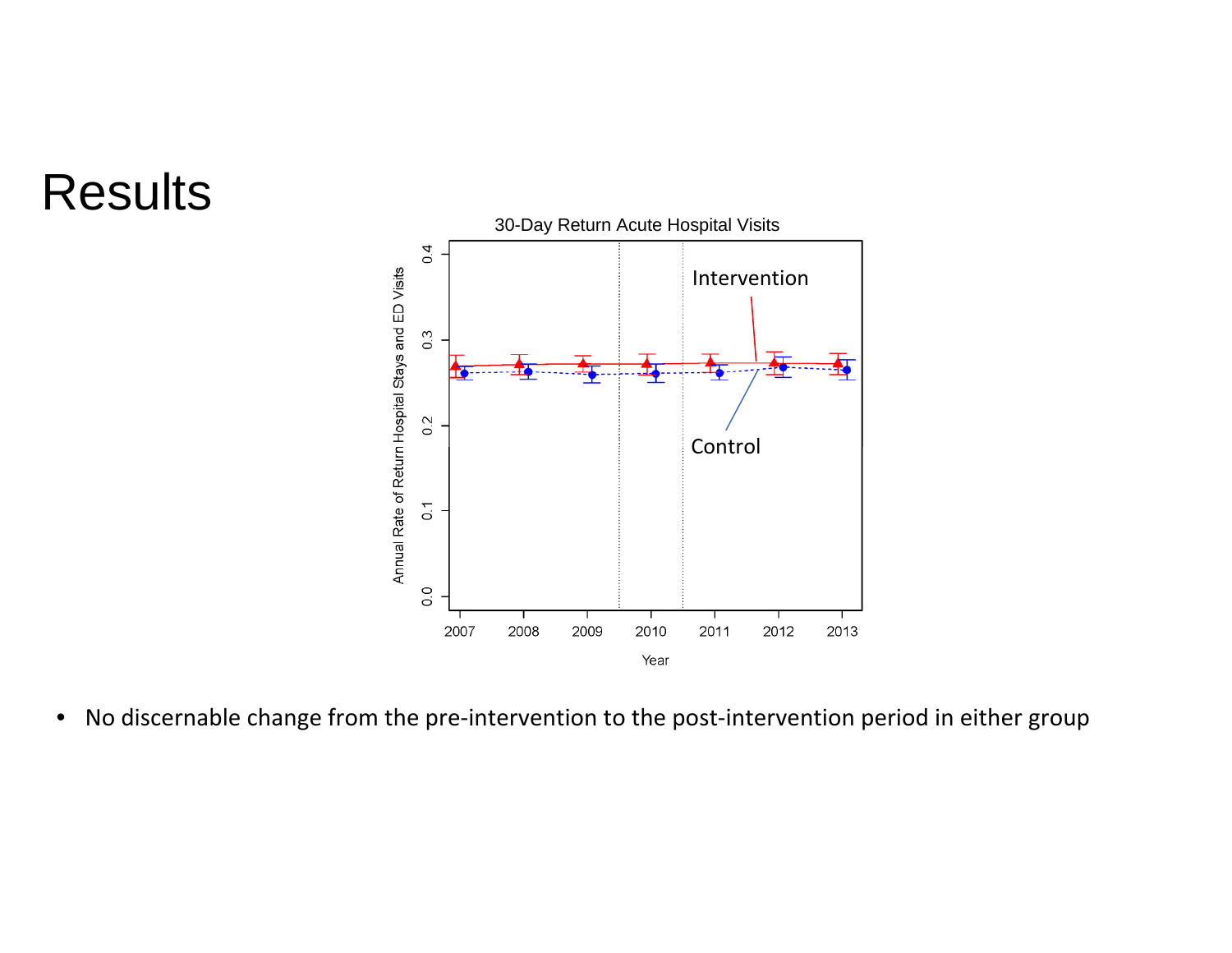### Results



• No discernable change from the pre-intervention to the post-intervention period in either group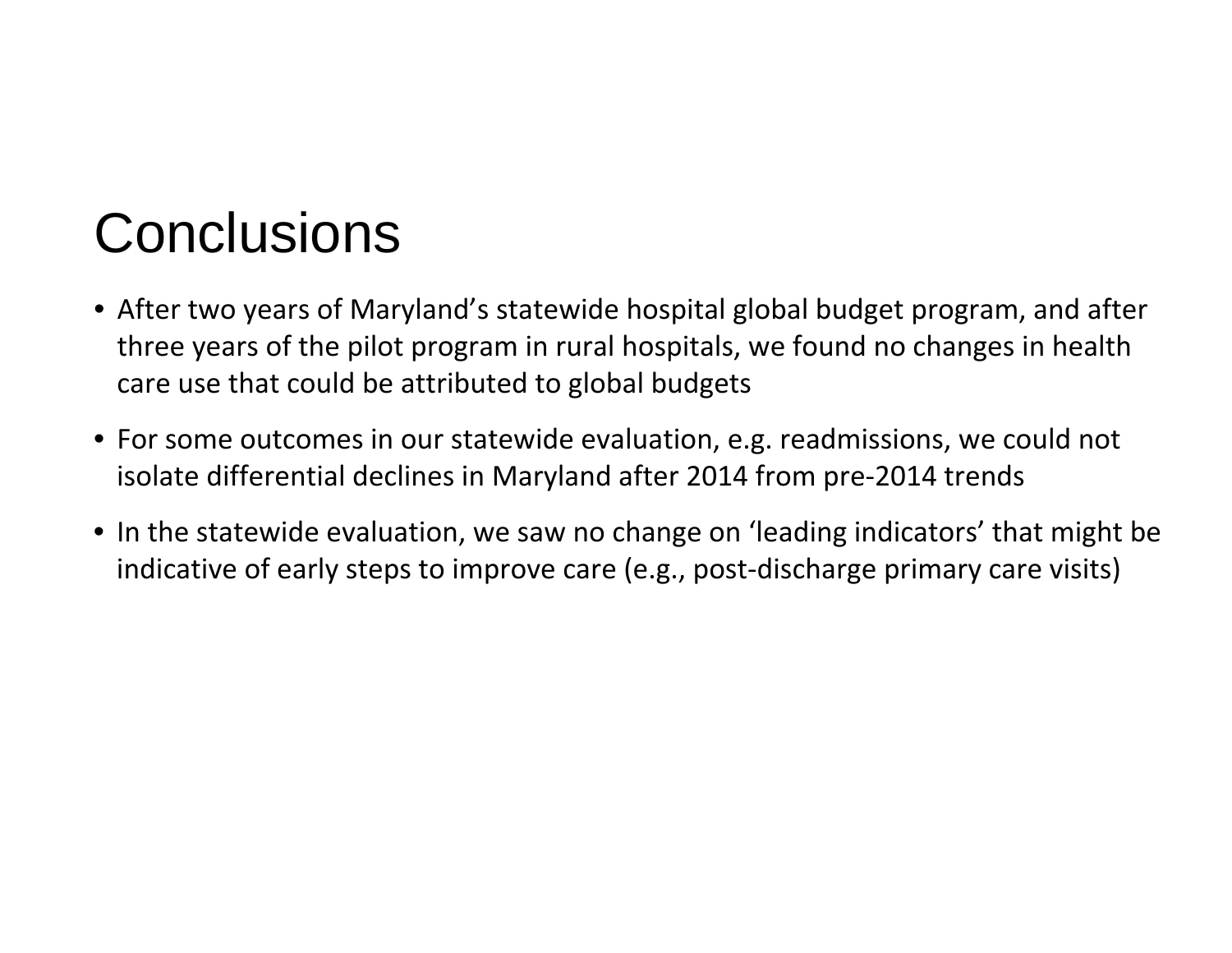## **Conclusions**

- After two years of Maryland's statewide hospital global budget program, and after three years of the pilot program in rural hospitals, we found no changes in health care use that could be attributed to global budgets
- For some outcomes in our statewide evaluation, e.g. readmissions, we could not isolate differential declines in Maryland after 2014 from pre ‐2014 trends
- In the statewide evaluation, we saw no change on 'leading indicators' that might be indicative of early steps to improve care (e.g., post ‐discharge primary care visits)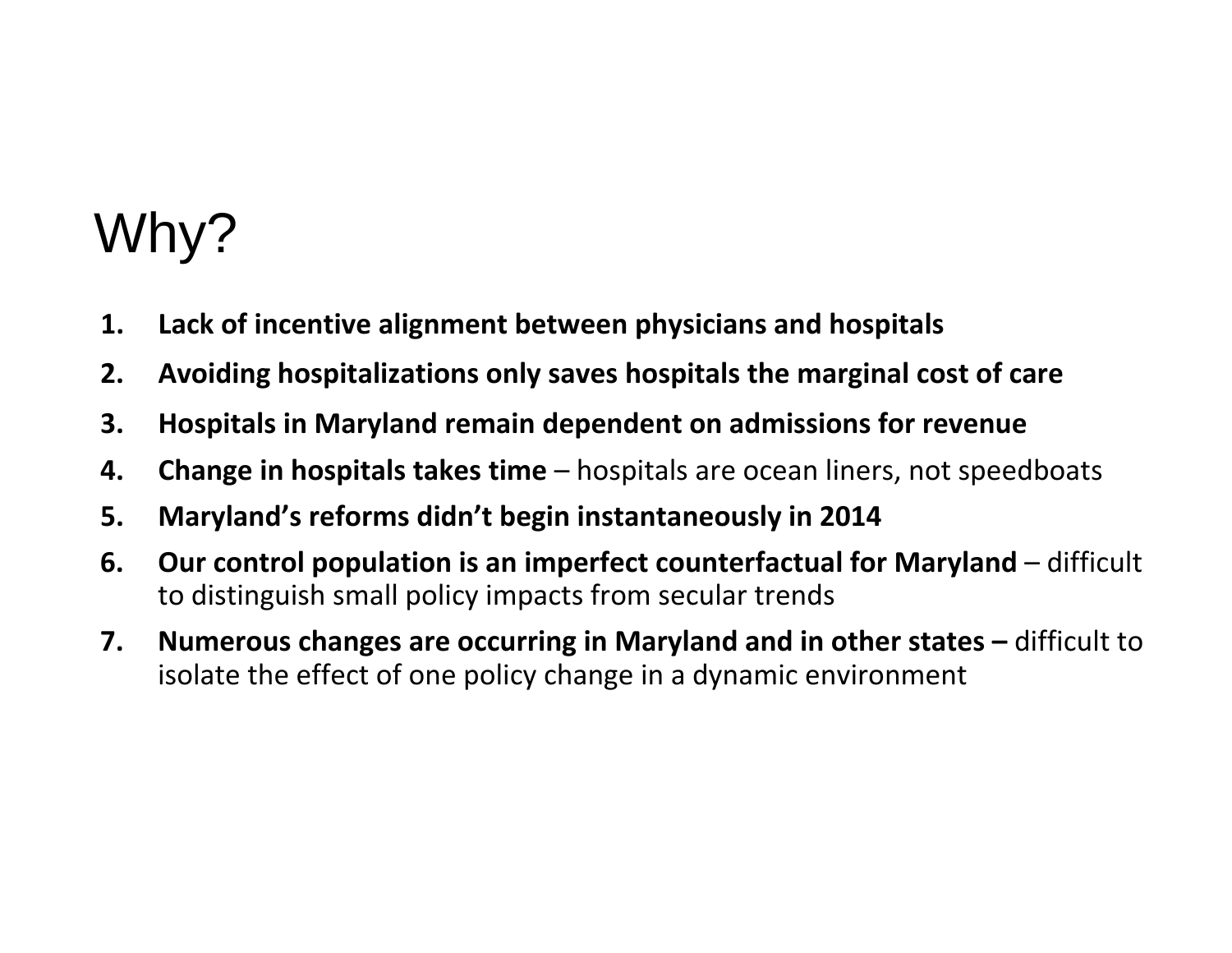## Why?

- **1.Lack of incentive alignment between physicians and hospitals**
- **2.Avoiding hospitalizations only saves hospitals the marginal cost of care**
- **3.Hospitals in Maryland remain dependent on admissions for revenue**
- **4.Change in hospitals takes time** – hospitals are ocean liners, not speedboats
- **5.Maryland's reforms didn't begin instantaneously in 2014**
- **6. Our control population is an imperfect counterfactual for Maryland** – difficult to distinguish small policy impacts from secular trends
- **7. Numerous changes are occurring in Maryland and in other states –** difficult to isolate the effect of one policy change in <sup>a</sup> dynamic environment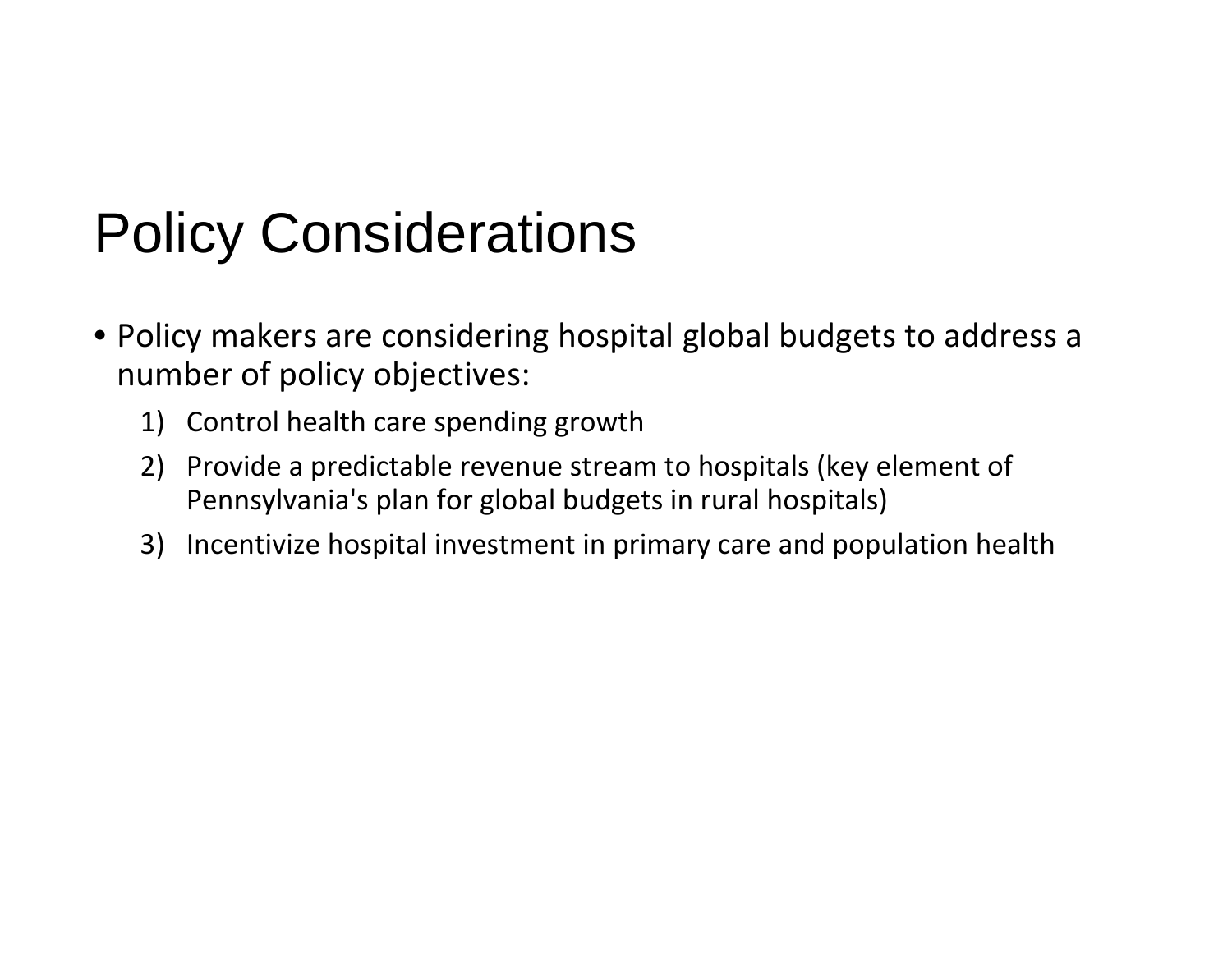# Policy Considerations

- Policy makers are considering hospital global budgets to address a number of policy objectives:
	- 1) Control health care spending growth
	- 2) Provide a predictable revenue stream to hospitals (key element of Pennsylvania's plan for global budgets in rural hospitals)
	- 3) Incentivize hospital investment in primary care and population health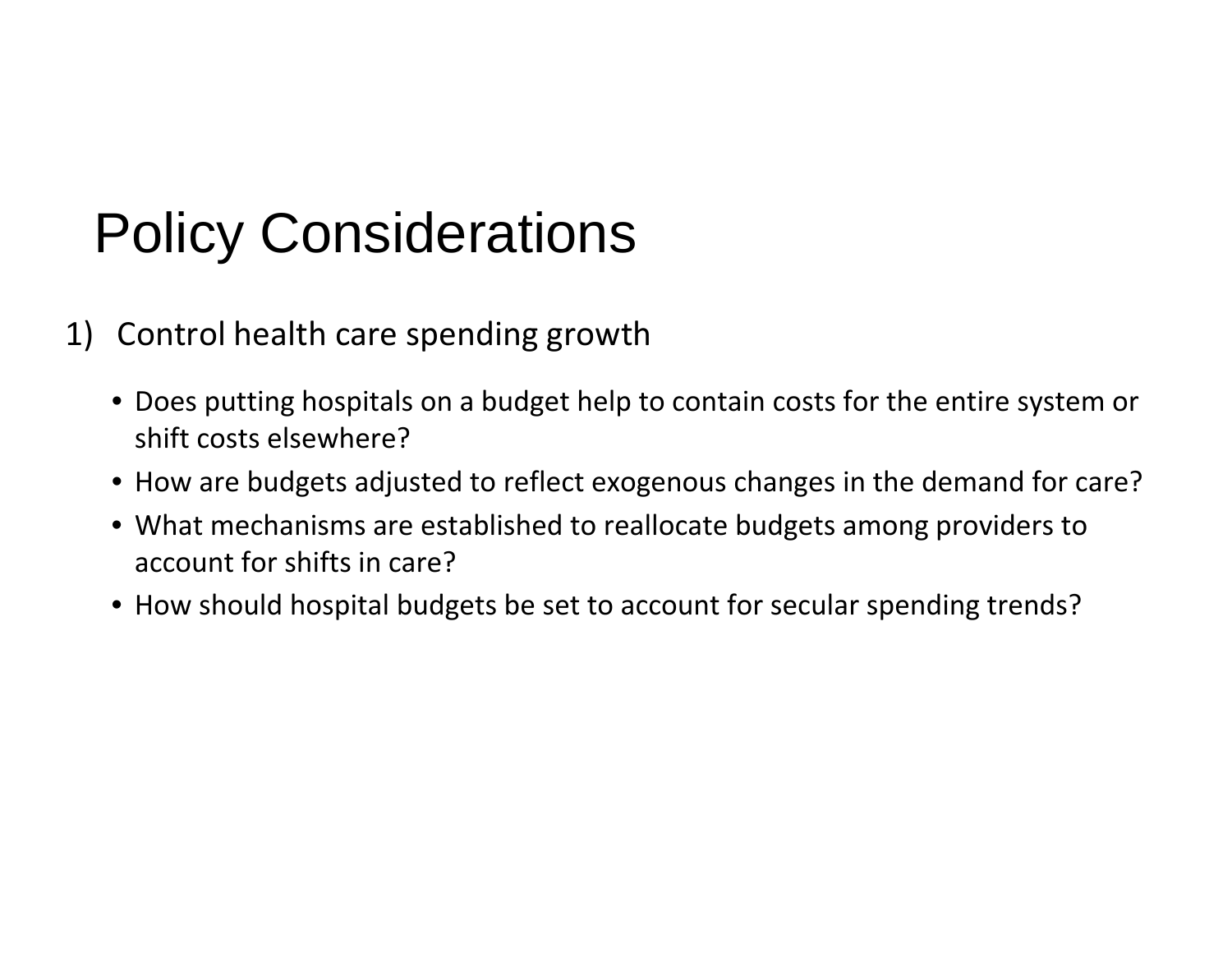# Policy Considerations

- 1) Control health care spending growth
	- Does putting hospitals on a budget help to contain costs for the entire system or shift costs elsewhere?
	- How are budgets adjusted to reflect exogenous changes in the demand for care?
	- What mechanisms are established to reallocate budgets among providers to account for shifts in care?
	- How should hospital budgets be set to account for secular spending trends?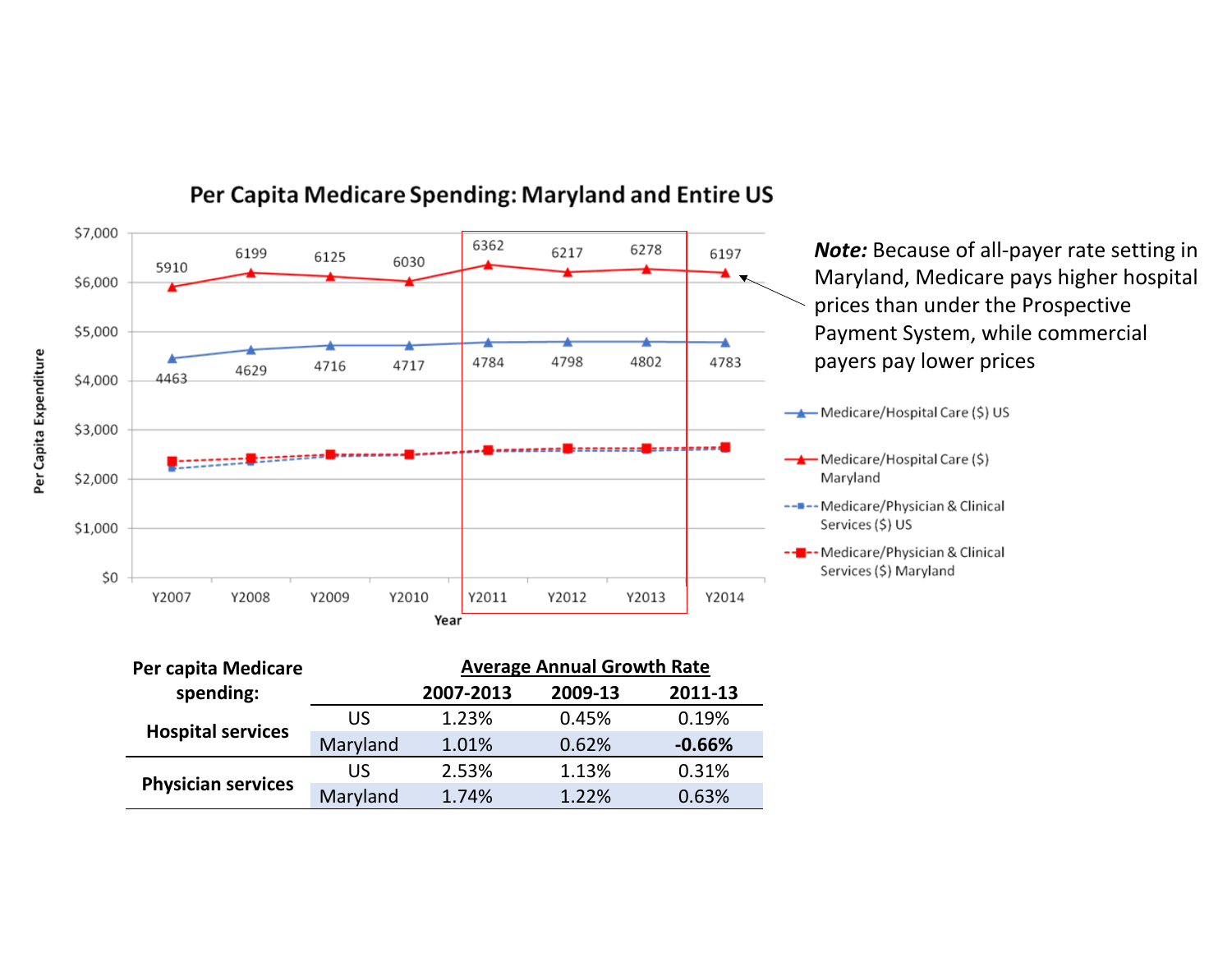

#### Per Capita Medicare Spending: Maryland and Entire US

| Per capita Medicare       | <b>Average Annual Growth Rate</b> |           |         |          |
|---------------------------|-----------------------------------|-----------|---------|----------|
| spending:                 |                                   | 2007-2013 | 2009-13 | 2011-13  |
| <b>Hospital services</b>  | US                                | 1.23%     | 0.45%   | 0.19%    |
|                           | Maryland                          | 1.01%     | 0.62%   | $-0.66%$ |
| <b>Physician services</b> | US                                | 2.53%     | 1.13%   | 0.31%    |
|                           | Maryland                          | 1.74%     | 1.22%   | 0.63%    |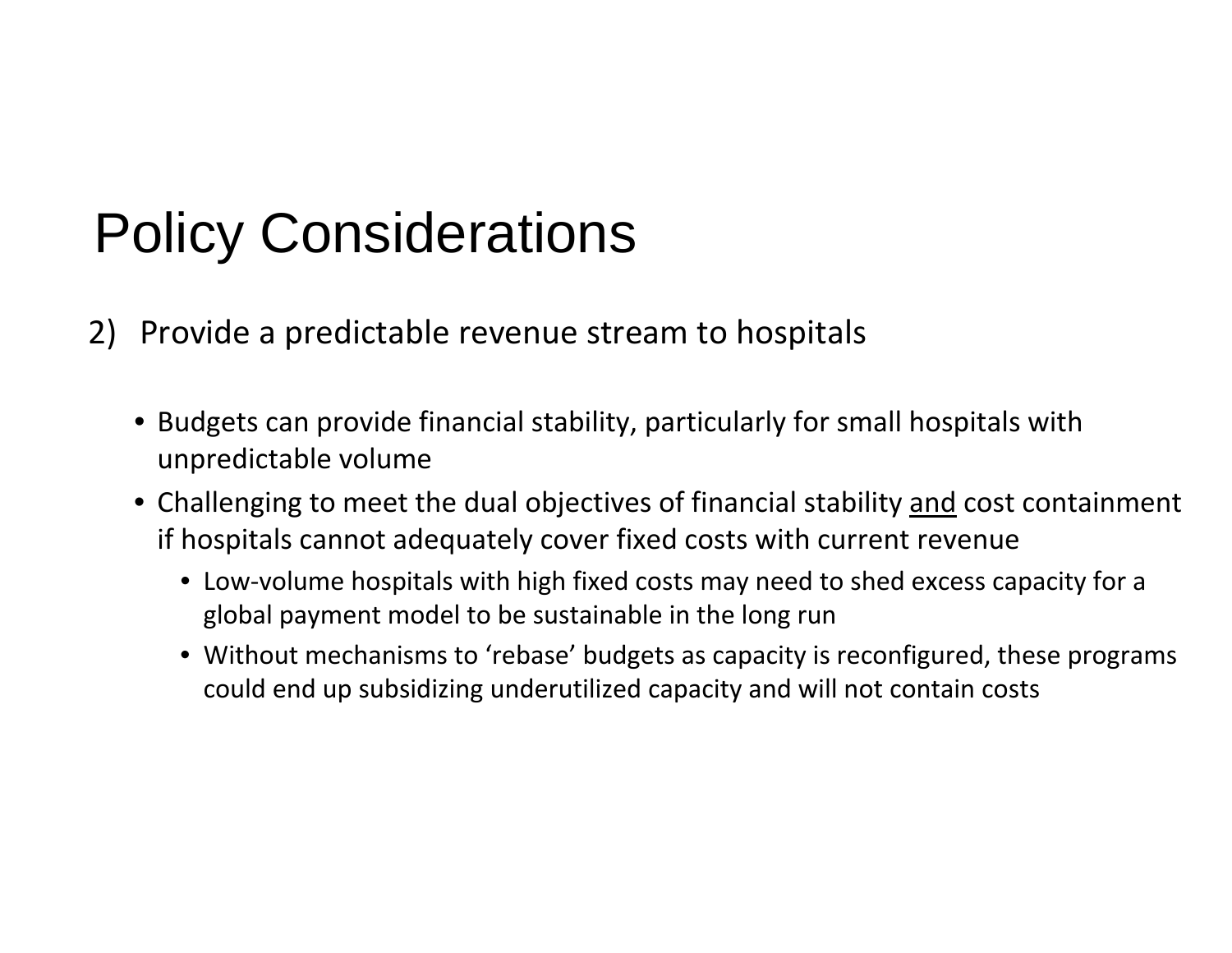# Policy Considerations

- 2) Provide a predictable revenue stream to hospitals
	- Budgets can provide financial stability, particularly for small hospitals with unpredictable volume
	- Challenging to meet the dual objectives of financial stability and cost containment if hospitals cannot adequately cover fixed costs with current revenue
		- Low-volume hospitals with high fixed costs may need to shed excess capacity for a global payment model to be sustainable in the long run
		- Without mechanisms to 'rebase' budgets as capacity is reconfigured, these programs could end up subsidizing underutilized capacity and will not contain costs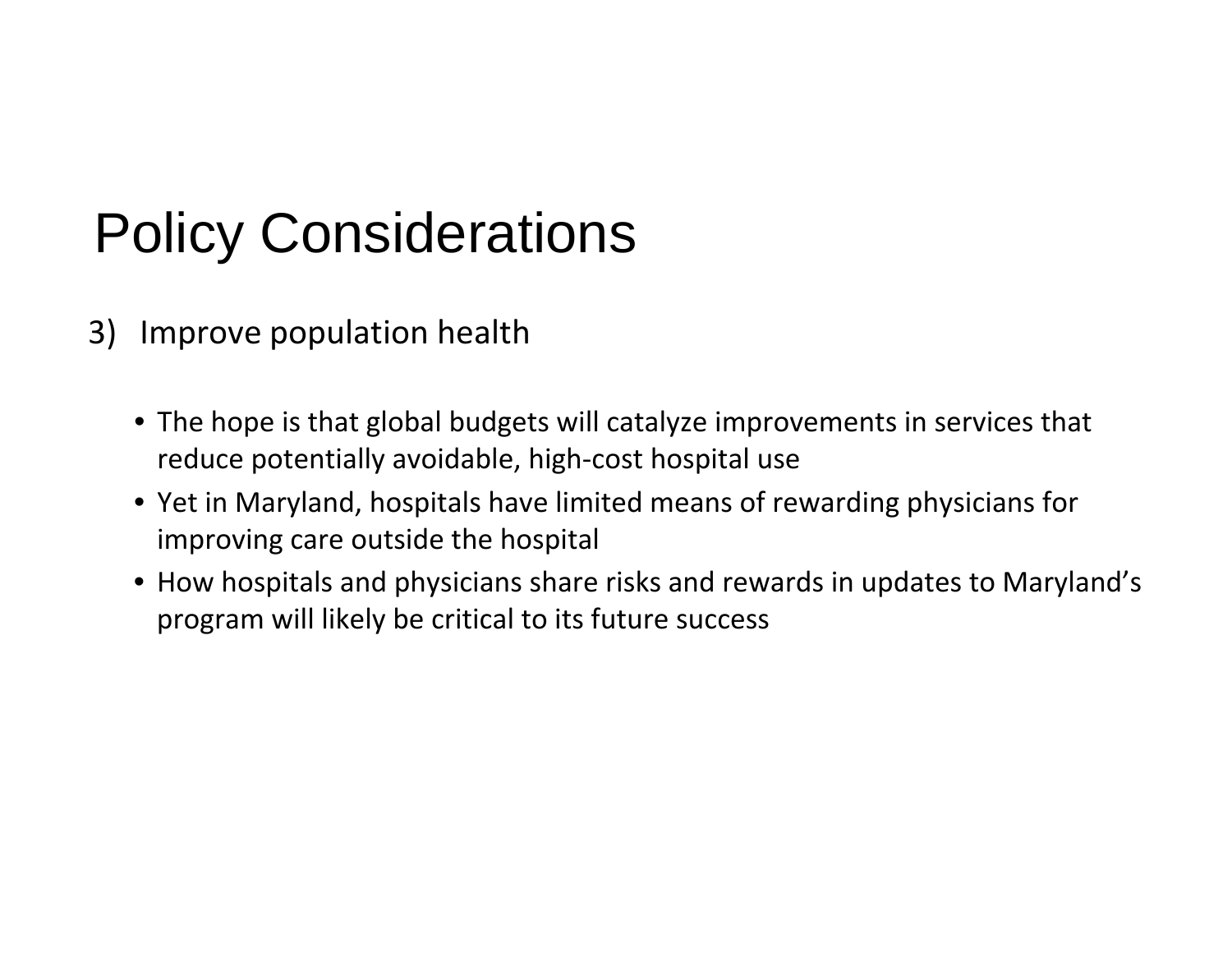# Policy Considerations

- 3) Improve population health
	- The hope is that global budgets will catalyze improvements in services that reduce potentially avoidable, high ‐cost hospital use
	- Yet in Maryland, hospitals have limited means of rewarding physicians for improving care outside the hospital
	- How hospitals and physicians share risks and rewards in updates to Maryland's program will likely be critical to its future success